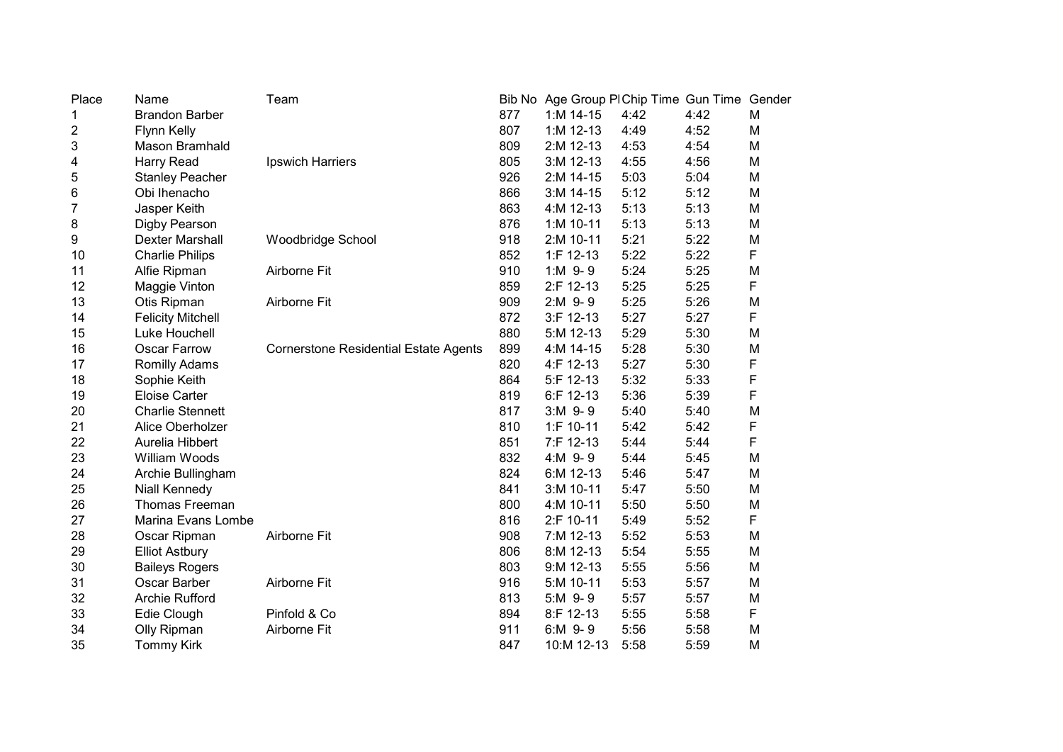| Place                     | Name                     | Team                                         |     | Bib No Age Group PI Chip Time Gun Time Gender |      |      |   |
|---------------------------|--------------------------|----------------------------------------------|-----|-----------------------------------------------|------|------|---|
| 1                         | <b>Brandon Barber</b>    |                                              | 877 | $1: M 14-15$                                  | 4:42 | 4:42 | M |
| $\overline{\mathbf{c}}$   | Flynn Kelly              |                                              | 807 | $1: M$ 12-13                                  | 4:49 | 4:52 | M |
| $\ensuremath{\mathsf{3}}$ | Mason Bramhald           |                                              | 809 | 2:M 12-13                                     | 4:53 | 4:54 | M |
| 4                         | Harry Read               | Ipswich Harriers                             | 805 | 3:M 12-13                                     | 4:55 | 4:56 | M |
| $\mathbf 5$               | <b>Stanley Peacher</b>   |                                              | 926 | 2:M 14-15                                     | 5:03 | 5:04 | M |
| 6                         | Obi Ihenacho             |                                              | 866 | 3:M 14-15                                     | 5:12 | 5:12 | M |
| $\overline{7}$            | Jasper Keith             |                                              | 863 | 4:M 12-13                                     | 5:13 | 5:13 | M |
| 8                         | Digby Pearson            |                                              | 876 | 1:M 10-11                                     | 5:13 | 5:13 | M |
| 9                         | Dexter Marshall          | Woodbridge School                            | 918 | 2:M 10-11                                     | 5:21 | 5:22 | M |
| 10                        | <b>Charlie Philips</b>   |                                              | 852 | $1:$ F 12-13                                  | 5:22 | 5:22 | F |
| 11                        | Alfie Ripman             | Airborne Fit                                 | 910 | $1:M$ 9-9                                     | 5:24 | 5:25 | M |
| 12                        | Maggie Vinton            |                                              | 859 | 2:F 12-13                                     | 5:25 | 5:25 | F |
| 13                        | Otis Ripman              | Airborne Fit                                 | 909 | 2:M 9-9                                       | 5:25 | 5:26 | M |
| 14                        | <b>Felicity Mitchell</b> |                                              | 872 | 3:F 12-13                                     | 5:27 | 5:27 | F |
| 15                        | Luke Houchell            |                                              | 880 | 5:M 12-13                                     | 5:29 | 5:30 | M |
| 16                        | Oscar Farrow             | <b>Cornerstone Residential Estate Agents</b> | 899 | 4:M 14-15                                     | 5:28 | 5:30 | M |
| 17                        | Romilly Adams            |                                              | 820 | 4:F 12-13                                     | 5:27 | 5:30 | F |
| 18                        | Sophie Keith             |                                              | 864 | 5:F 12-13                                     | 5:32 | 5:33 | F |
| 19                        | <b>Eloise Carter</b>     |                                              | 819 | 6:F 12-13                                     | 5:36 | 5:39 | F |
| 20                        | <b>Charlie Stennett</b>  |                                              | 817 | $3:M$ 9-9                                     | 5:40 | 5:40 | M |
| 21                        | Alice Oberholzer         |                                              | 810 | 1:F 10-11                                     | 5:42 | 5:42 | F |
| 22                        | Aurelia Hibbert          |                                              | 851 | 7:F 12-13                                     | 5:44 | 5:44 | F |
| 23                        | William Woods            |                                              | 832 | 4:M 9-9                                       | 5:44 | 5:45 | M |
| 24                        | Archie Bullingham        |                                              | 824 | 6:M 12-13                                     | 5:46 | 5:47 | M |
| 25                        | <b>Niall Kennedy</b>     |                                              | 841 | 3:M 10-11                                     | 5:47 | 5:50 | M |
| 26                        | <b>Thomas Freeman</b>    |                                              | 800 | 4:M 10-11                                     | 5:50 | 5:50 | M |
| 27                        | Marina Evans Lombe       |                                              | 816 | 2:F 10-11                                     | 5:49 | 5:52 | F |
| 28                        | Oscar Ripman             | Airborne Fit                                 | 908 | 7:M 12-13                                     | 5:52 | 5:53 | M |
| 29                        | <b>Elliot Astbury</b>    |                                              | 806 | 8:M 12-13                                     | 5:54 | 5:55 | M |
| 30                        | <b>Baileys Rogers</b>    |                                              | 803 | 9:M 12-13                                     | 5:55 | 5:56 | M |
| 31                        | Oscar Barber             | Airborne Fit                                 | 916 | 5:M 10-11                                     | 5:53 | 5:57 | M |
| 32                        | <b>Archie Rufford</b>    |                                              | 813 | 5:M 9-9                                       | 5:57 | 5:57 | M |
| 33                        | Edie Clough              | Pinfold & Co                                 | 894 | 8:F 12-13                                     | 5:55 | 5:58 | F |
| 34                        | Olly Ripman              | Airborne Fit                                 | 911 | 6:M 9-9                                       | 5:56 | 5:58 | M |
| 35                        | <b>Tommy Kirk</b>        |                                              | 847 | 10:M 12-13                                    | 5:58 | 5:59 | M |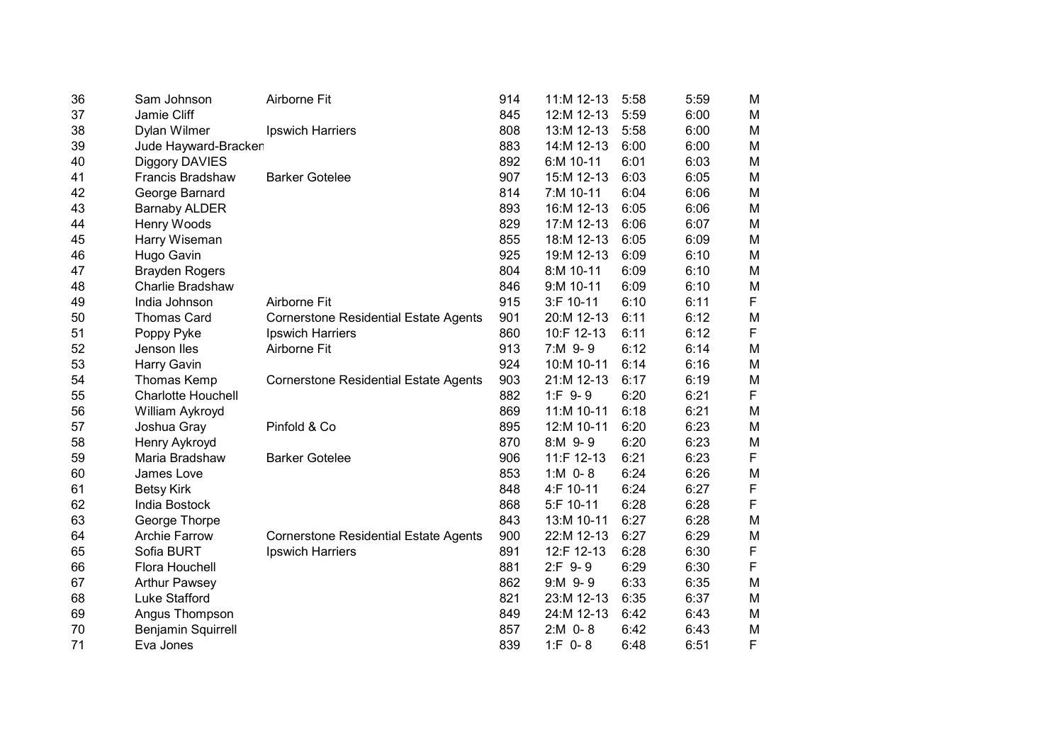| 36 | Sam Johnson               | Airborne Fit                                 | 914 | 11:M 12-13   | 5:58 | 5:59 | M           |
|----|---------------------------|----------------------------------------------|-----|--------------|------|------|-------------|
| 37 | Jamie Cliff               |                                              | 845 | 12:M 12-13   | 5:59 | 6:00 | M           |
| 38 | Dylan Wilmer              | <b>Ipswich Harriers</b>                      | 808 | 13:M 12-13   | 5:58 | 6:00 | M           |
| 39 | Jude Hayward-Bracken      |                                              | 883 | 14:M 12-13   | 6:00 | 6:00 | M           |
| 40 | Diggory DAVIES            |                                              | 892 | 6:M 10-11    | 6:01 | 6:03 | M           |
| 41 | <b>Francis Bradshaw</b>   | <b>Barker Gotelee</b>                        | 907 | 15:M 12-13   | 6:03 | 6:05 | M           |
| 42 | George Barnard            |                                              | 814 | 7:M 10-11    | 6:04 | 6:06 | M           |
| 43 | <b>Barnaby ALDER</b>      |                                              | 893 | 16:M 12-13   | 6:05 | 6:06 | M           |
| 44 | Henry Woods               |                                              | 829 | 17:M 12-13   | 6:06 | 6:07 | M           |
| 45 | Harry Wiseman             |                                              | 855 | 18:M 12-13   | 6:05 | 6:09 | M           |
| 46 | Hugo Gavin                |                                              | 925 | 19:M 12-13   | 6:09 | 6:10 | M           |
| 47 | <b>Brayden Rogers</b>     |                                              | 804 | 8:M 10-11    | 6:09 | 6:10 | M           |
| 48 | Charlie Bradshaw          |                                              | 846 | 9:M 10-11    | 6:09 | 6:10 | M           |
| 49 | India Johnson             | Airborne Fit                                 | 915 | 3:F 10-11    | 6:10 | 6:11 | F           |
| 50 | <b>Thomas Card</b>        | <b>Cornerstone Residential Estate Agents</b> | 901 | 20:M 12-13   | 6:11 | 6:12 | M           |
| 51 | Poppy Pyke                | Ipswich Harriers                             | 860 | 10:F 12-13   | 6:11 | 6:12 | F           |
| 52 | Jenson Iles               | Airborne Fit                                 | 913 | 7:M 9-9      | 6:12 | 6:14 | M           |
| 53 | <b>Harry Gavin</b>        |                                              | 924 | 10:M 10-11   | 6:14 | 6:16 | M           |
| 54 | Thomas Kemp               | <b>Cornerstone Residential Estate Agents</b> | 903 | 21:M 12-13   | 6:17 | 6:19 | M           |
| 55 | <b>Charlotte Houchell</b> |                                              | 882 | $1:F9-.9$    | 6:20 | 6:21 | F           |
| 56 | William Aykroyd           |                                              | 869 | 11:M 10-11   | 6:18 | 6:21 | M           |
| 57 | Joshua Gray               | Pinfold & Co                                 | 895 | 12:M 10-11   | 6:20 | 6:23 | M           |
| 58 | Henry Aykroyd             |                                              | 870 | 8:M 9-9      | 6:20 | 6:23 | M           |
| 59 | Maria Bradshaw            | <b>Barker Gotelee</b>                        | 906 | 11:F 12-13   | 6:21 | 6:23 | F           |
| 60 | James Love                |                                              | 853 | 1: $M$ 0-8   | 6:24 | 6:26 | M           |
| 61 | <b>Betsy Kirk</b>         |                                              | 848 | 4:F 10-11    | 6:24 | 6:27 | F           |
| 62 | India Bostock             |                                              | 868 | 5:F 10-11    | 6:28 | 6:28 | F           |
| 63 | George Thorpe             |                                              | 843 | 13:M 10-11   | 6:27 | 6:28 | M           |
| 64 | <b>Archie Farrow</b>      | <b>Cornerstone Residential Estate Agents</b> | 900 | 22:M 12-13   | 6:27 | 6:29 | M           |
| 65 | Sofia BURT                | Ipswich Harriers                             | 891 | 12:F 12-13   | 6:28 | 6:30 | $\mathsf F$ |
| 66 | Flora Houchell            |                                              | 881 | $2:F$ 9-9    | 6:29 | 6:30 | F           |
| 67 | <b>Arthur Pawsey</b>      |                                              | 862 | $9: M$ $9-9$ | 6:33 | 6:35 | M           |
| 68 | <b>Luke Stafford</b>      |                                              | 821 | 23:M 12-13   | 6:35 | 6:37 | M           |
| 69 | Angus Thompson            |                                              | 849 | 24:M 12-13   | 6:42 | 6:43 | M           |
| 70 | Benjamin Squirrell        |                                              | 857 | $2:M$ 0-8    | 6:42 | 6:43 | M           |
| 71 | Eva Jones                 |                                              | 839 | $1:F$ 0-8    | 6:48 | 6:51 | F           |